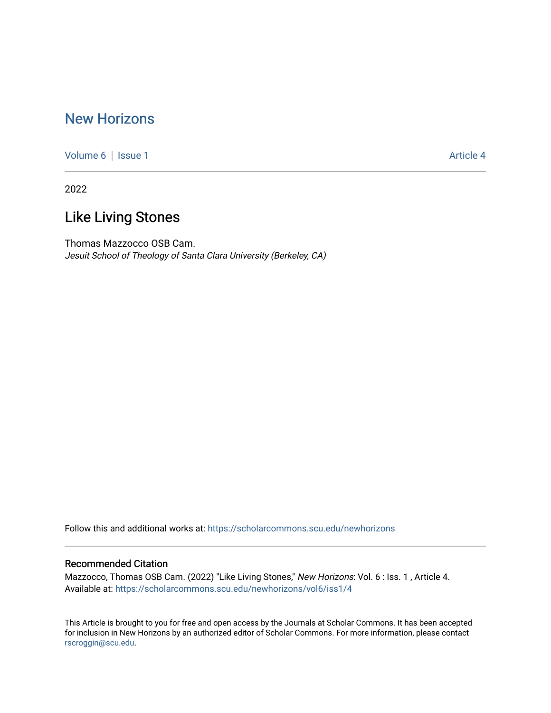## [New Horizons](https://scholarcommons.scu.edu/newhorizons)

[Volume 6](https://scholarcommons.scu.edu/newhorizons/vol6) | [Issue 1](https://scholarcommons.scu.edu/newhorizons/vol6/iss1) Article 4

2022

# Like Living Stones

Thomas Mazzocco OSB Cam. Jesuit School of Theology of Santa Clara University (Berkeley, CA)

Follow this and additional works at: [https://scholarcommons.scu.edu/newhorizons](https://scholarcommons.scu.edu/newhorizons?utm_source=scholarcommons.scu.edu%2Fnewhorizons%2Fvol6%2Fiss1%2F4&utm_medium=PDF&utm_campaign=PDFCoverPages)

#### Recommended Citation

Mazzocco, Thomas OSB Cam. (2022) "Like Living Stones," New Horizons: Vol. 6 : Iss. 1 , Article 4. Available at: [https://scholarcommons.scu.edu/newhorizons/vol6/iss1/4](https://scholarcommons.scu.edu/newhorizons/vol6/iss1/4?utm_source=scholarcommons.scu.edu%2Fnewhorizons%2Fvol6%2Fiss1%2F4&utm_medium=PDF&utm_campaign=PDFCoverPages)

This Article is brought to you for free and open access by the Journals at Scholar Commons. It has been accepted for inclusion in New Horizons by an authorized editor of Scholar Commons. For more information, please contact [rscroggin@scu.edu](mailto:rscroggin@scu.edu).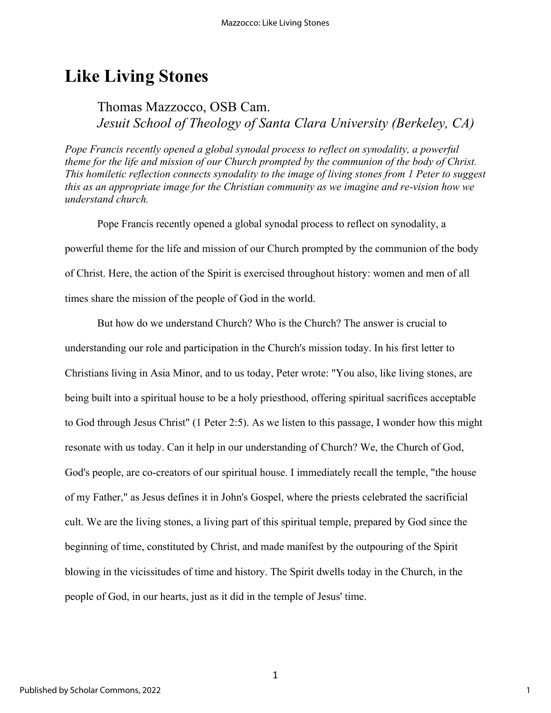# **Like Living Stones**

### Thomas Mazzocco, OSB Cam. *Jesuit School of Theology of Santa Clara University (Berkeley, CA)*

*Pope Francis recently opened a global synodal process to reflect on synodality, a powerful theme for the life and mission of our Church prompted by the communion of the body of Christ. This homiletic reflection connects synodality to the image of living stones from 1 Peter to suggest this as an appropriate image for the Christian community as we imagine and re-vision how we understand church.*

Pope Francis recently opened a global synodal process to reflect on synodality, a powerful theme for the life and mission of our Church prompted by the communion of the body of Christ. Here, the action of the Spirit is exercised throughout history: women and men of all times share the mission of the people of God in the world.

But how do we understand Church? Who is the Church? The answer is crucial to understanding our role and participation in the Church's mission today. In his first letter to Christians living in Asia Minor, and to us today, Peter wrote: "You also, like living stones, are being built into a spiritual house to be a holy priesthood, offering spiritual sacrifices acceptable to God through Jesus Christ" (1 Peter 2:5). As we listen to this passage, I wonder how this might resonate with us today. Can it help in our understanding of Church? We, the Church of God, God's people, are co-creators of our spiritual house. I immediately recall the temple, "the house of my Father," as Jesus defines it in John's Gospel, where the priests celebrated the sacrificial cult. We are the living stones, a living part of this spiritual temple, prepared by God since the beginning of time, constituted by Christ, and made manifest by the outpouring of the Spirit blowing in the vicissitudes of time and history. The Spirit dwells today in the Church, in the people of God, in our hearts, just as it did in the temple of Jesus' time.

1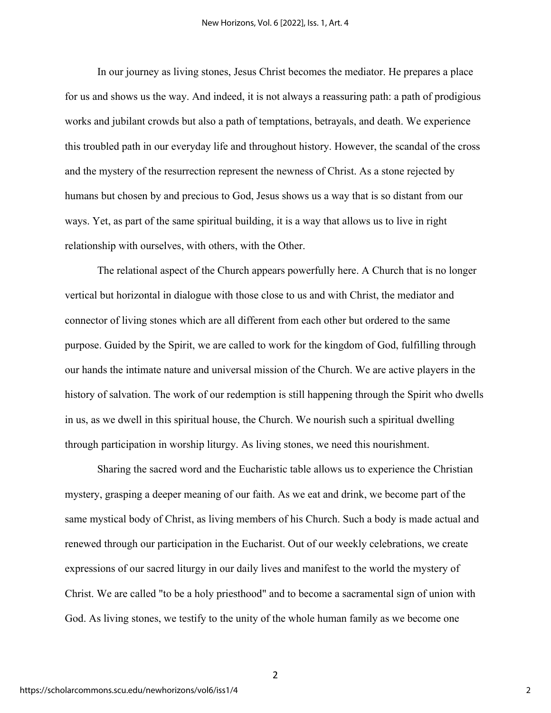In our journey as living stones, Jesus Christ becomes the mediator. He prepares a place for us and shows us the way. And indeed, it is not always a reassuring path: a path of prodigious works and jubilant crowds but also a path of temptations, betrayals, and death. We experience this troubled path in our everyday life and throughout history. However, the scandal of the cross and the mystery of the resurrection represent the newness of Christ. As a stone rejected by humans but chosen by and precious to God, Jesus shows us a way that is so distant from our ways. Yet, as part of the same spiritual building, it is a way that allows us to live in right relationship with ourselves, with others, with the Other.

The relational aspect of the Church appears powerfully here. A Church that is no longer vertical but horizontal in dialogue with those close to us and with Christ, the mediator and connector of living stones which are all different from each other but ordered to the same purpose. Guided by the Spirit, we are called to work for the kingdom of God, fulfilling through our hands the intimate nature and universal mission of the Church. We are active players in the history of salvation. The work of our redemption is still happening through the Spirit who dwells in us, as we dwell in this spiritual house, the Church. We nourish such a spiritual dwelling through participation in worship liturgy. As living stones, we need this nourishment.

Sharing the sacred word and the Eucharistic table allows us to experience the Christian mystery, grasping a deeper meaning of our faith. As we eat and drink, we become part of the same mystical body of Christ, as living members of his Church. Such a body is made actual and renewed through our participation in the Eucharist. Out of our weekly celebrations, we create expressions of our sacred liturgy in our daily lives and manifest to the world the mystery of Christ. We are called "to be a holy priesthood" and to become a sacramental sign of union with God. As living stones, we testify to the unity of the whole human family as we become one

2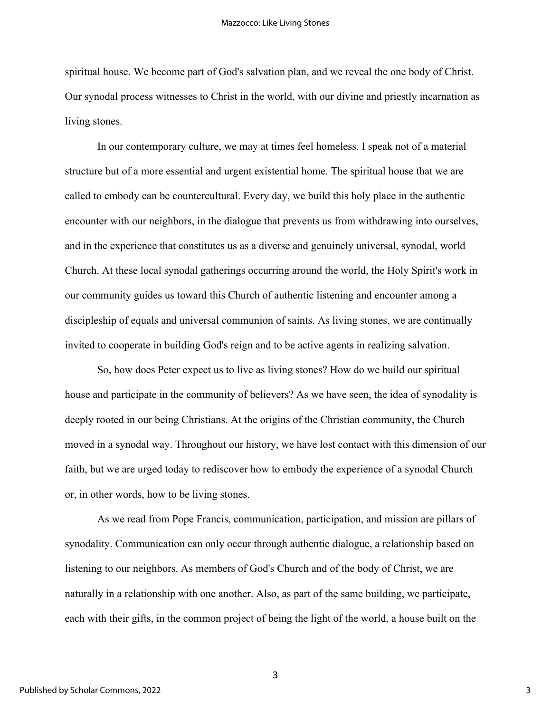spiritual house. We become part of God's salvation plan, and we reveal the one body of Christ. Our synodal process witnesses to Christ in the world, with our divine and priestly incarnation as living stones.

In our contemporary culture, we may at times feel homeless. I speak not of a material structure but of a more essential and urgent existential home. The spiritual house that we are called to embody can be countercultural. Every day, we build this holy place in the authentic encounter with our neighbors, in the dialogue that prevents us from withdrawing into ourselves, and in the experience that constitutes us as a diverse and genuinely universal, synodal, world Church. At these local synodal gatherings occurring around the world, the Holy Spirit's work in our community guides us toward this Church of authentic listening and encounter among a discipleship of equals and universal communion of saints. As living stones, we are continually invited to cooperate in building God's reign and to be active agents in realizing salvation.

So, how does Peter expect us to live as living stones? How do we build our spiritual house and participate in the community of believers? As we have seen, the idea of synodality is deeply rooted in our being Christians. At the origins of the Christian community, the Church moved in a synodal way. Throughout our history, we have lost contact with this dimension of our faith, but we are urged today to rediscover how to embody the experience of a synodal Church or, in other words, how to be living stones.

As we read from Pope Francis, communication, participation, and mission are pillars of synodality. Communication can only occur through authentic dialogue, a relationship based on listening to our neighbors. As members of God's Church and of the body of Christ, we are naturally in a relationship with one another. Also, as part of the same building, we participate, each with their gifts, in the common project of being the light of the world, a house built on the

3

3